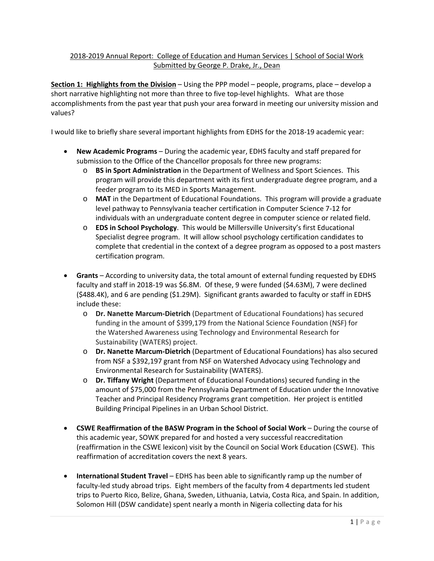## 2018‐2019 Annual Report: College of Education and Human Services | School of Social Work Submitted by George P. Drake, Jr., Dean

**Section 1: Highlights from the Division** – Using the PPP model – people, programs, place – develop a short narrative highlighting not more than three to five top-level highlights. What are those accomplishments from the past year that push your area forward in meeting our university mission and values?

I would like to briefly share several important highlights from EDHS for the 2018‐19 academic year:

- **New Academic Programs** During the academic year, EDHS faculty and staff prepared for submission to the Office of the Chancellor proposals for three new programs:
	- o **BS in Sport Administration** in the Department of Wellness and Sport Sciences. This program will provide this department with its first undergraduate degree program, and a feeder program to its MED in Sports Management.
	- o **MAT** in the Department of Educational Foundations. This program will provide a graduate level pathway to Pennsylvania teacher certification in Computer Science 7‐12 for individuals with an undergraduate content degree in computer science or related field.
	- o **EDS in School Psychology**. This would be Millersville University's first Educational Specialist degree program. It will allow school psychology certification candidates to complete that credential in the context of a degree program as opposed to a post masters certification program.
- **Grants** According to university data, the total amount of external funding requested by EDHS faculty and staff in 2018‐19 was \$6.8M. Of these, 9 were funded (\$4.63M), 7 were declined (\$488.4K), and 6 are pending (\$1.29M). Significant grants awarded to faculty or staff in EDHS include these:
	- o **Dr. Nanette Marcum‐Dietrich** (Department of Educational Foundations) has secured funding in the amount of \$399,179 from the National Science Foundation (NSF) for the Watershed Awareness using Technology and Environmental Research for Sustainability (WATERS) project.
	- o **Dr. Nanette Marcum‐Dietrich** (Department of Educational Foundations) has also secured from NSF a \$392,197 grant from NSF on Watershed Advocacy using Technology and Environmental Research for Sustainability (WATERS).
	- o **Dr. Tiffany Wright** (Department of Educational Foundations) secured funding in the amount of \$75,000 from the Pennsylvania Department of Education under the Innovative Teacher and Principal Residency Programs grant competition. Her project is entitled Building Principal Pipelines in an Urban School District.
- **CSWE Reaffirmation of the BASW Program in the School of Social Work** During the course of this academic year, SOWK prepared for and hosted a very successful reaccreditation (reaffirmation in the CSWE lexicon) visit by the Council on Social Work Education (CSWE). This reaffirmation of accreditation covers the next 8 years.
- **International Student Travel** EDHS has been able to significantly ramp up the number of faculty-led study abroad trips. Eight members of the faculty from 4 departments led student trips to Puerto Rico, Belize, Ghana, Sweden, Lithuania, Latvia, Costa Rica, and Spain. In addition, Solomon Hill (DSW candidate) spent nearly a month in Nigeria collecting data for his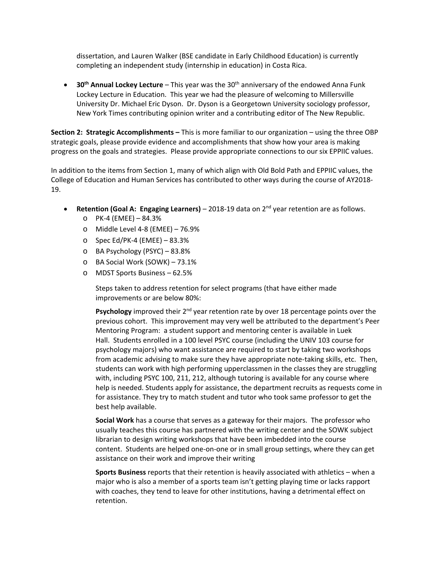dissertation, and Lauren Walker (BSE candidate in Early Childhood Education) is currently completing an independent study (internship in education) in Costa Rica.

 **30th Annual Lockey Lecture** – This year was the 30th anniversary of the endowed Anna Funk Lockey Lecture in Education. This year we had the pleasure of welcoming to Millersville University Dr. Michael Eric Dyson. Dr. Dyson is a Georgetown University sociology professor, New York Times contributing opinion writer and a contributing editor of The New Republic.

**Section 2: Strategic Accomplishments –** This is more familiar to our organization – using the three OBP strategic goals, please provide evidence and accomplishments that show how your area is making progress on the goals and strategies. Please provide appropriate connections to our six EPPIIC values.

In addition to the items from Section 1, many of which align with Old Bold Path and EPPIIC values, the College of Education and Human Services has contributed to other ways during the course of AY2018‐ 19.

- **Retention (Goal A: Engaging Learners)** 2018‐19 data on 2nd year retention are as follows.
	- o PK‐4 (EMEE) 84.3%
	- o Middle Level 4‐8 (EMEE) 76.9%
	- o Spec Ed/PK‐4 (EMEE) 83.3%
	- o BA Psychology (PSYC) 83.8%
	- o BA Social Work (SOWK) 73.1%
	- o MDST Sports Business 62.5%

Steps taken to address retention for select programs (that have either made improvements or are below 80%:

**Psychology** improved their 2<sup>nd</sup> year retention rate by over 18 percentage points over the previous cohort. This improvement may very well be attributed to the department's Peer Mentoring Program: a student support and mentoring center is available in Luek Hall. Students enrolled in a 100 level PSYC course (including the UNIV 103 course for psychology majors) who want assistance are required to start by taking two workshops from academic advising to make sure they have appropriate note-taking skills, etc. Then, students can work with high performing upperclassmen in the classes they are struggling with, including PSYC 100, 211, 212, although tutoring is available for any course where help is needed. Students apply for assistance, the department recruits as requests come in for assistance. They try to match student and tutor who took same professor to get the best help available.

**Social Work** has a course that serves as a gateway for their majors. The professor who usually teaches this course has partnered with the writing center and the SOWK subject librarian to design writing workshops that have been imbedded into the course content. Students are helped one‐on‐one or in small group settings, where they can get assistance on their work and improve their writing

**Sports Business** reports that their retention is heavily associated with athletics – when a major who is also a member of a sports team isn't getting playing time or lacks rapport with coaches, they tend to leave for other institutions, having a detrimental effect on retention.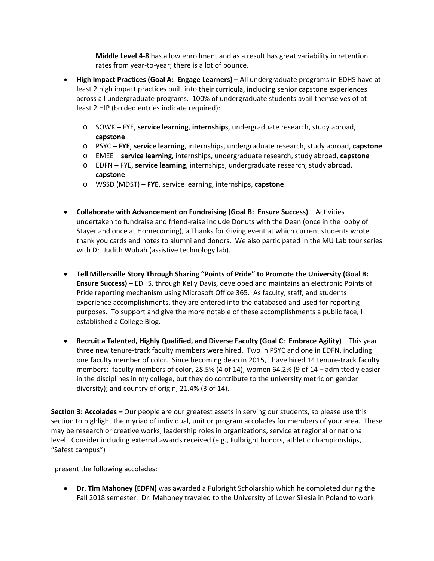**Middle Level 4‐8** has a low enrollment and as a result has great variability in retention rates from year-to-year; there is a lot of bounce.

- **High Impact Practices (Goal A: Engage Learners)** All undergraduate programs in EDHS have at least 2 high impact practices built into their curricula, including senior capstone experiences across all undergraduate programs. 100% of undergraduate students avail themselves of at least 2 HIP (bolded entries indicate required):
	- o SOWK FYE, **service learning**, **internships**, undergraduate research, study abroad, **capstone**
	- o PSYC **FYE**, **service learning**, internships, undergraduate research, study abroad, **capstone**
	- o EMEE **service learning**, internships, undergraduate research, study abroad, **capstone**
	- o EDFN FYE, **service learning**, internships, undergraduate research, study abroad, **capstone**
	- o WSSD (MDST) **FYE**, service learning, internships, **capstone**
- **Collaborate with Advancement on Fundraising (Goal B: Ensure Success)** Activities undertaken to fundraise and friend‐raise include Donuts with the Dean (once in the lobby of Stayer and once at Homecoming), a Thanks for Giving event at which current students wrote thank you cards and notes to alumni and donors. We also participated in the MU Lab tour series with Dr. Judith Wubah (assistive technology lab).
- **Tell Millersville Story Through Sharing "Points of Pride" to Promote the University (Goal B: Ensure Success)** – EDHS, through Kelly Davis, developed and maintains an electronic Points of Pride reporting mechanism using Microsoft Office 365. As faculty, staff, and students experience accomplishments, they are entered into the databased and used for reporting purposes. To support and give the more notable of these accomplishments a public face, I established a College Blog.
- **Recruit a Talented, Highly Qualified, and Diverse Faculty (Goal C: Embrace Agility)** This year three new tenure‐track faculty members were hired. Two in PSYC and one in EDFN, including one faculty member of color. Since becoming dean in 2015, I have hired 14 tenure‐track faculty members: faculty members of color, 28.5% (4 of 14); women 64.2% (9 of 14 – admittedly easier in the disciplines in my college, but they do contribute to the university metric on gender diversity); and country of origin, 21.4% (3 of 14).

**Section 3: Accolades –** Our people are our greatest assets in serving our students, so please use this section to highlight the myriad of individual, unit or program accolades for members of your area. These may be research or creative works, leadership roles in organizations, service at regional or national level. Consider including external awards received (e.g., Fulbright honors, athletic championships, "Safest campus")

I present the following accolades:

 **Dr. Tim Mahoney (EDFN)** was awarded a Fulbright Scholarship which he completed during the Fall 2018 semester. Dr. Mahoney traveled to the University of Lower Silesia in Poland to work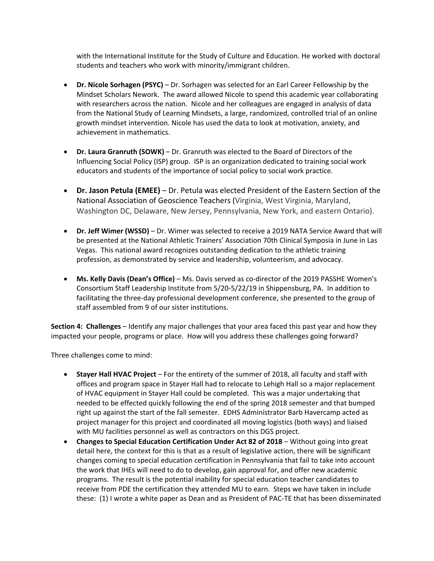with the International Institute for the Study of Culture and Education. He worked with doctoral students and teachers who work with minority/immigrant children.

- **Dr. Nicole Sorhagen (PSYC)** Dr. Sorhagen was selected for an Earl Career Fellowship by the Mindset Scholars Nework. The award allowed Nicole to spend this academic year collaborating with researchers across the nation. Nicole and her colleagues are engaged in analysis of data from the National Study of Learning Mindsets, a large, randomized, controlled trial of an online growth mindset intervention. Nicole has used the data to look at motivation, anxiety, and achievement in mathematics.
- **Dr. Laura Granruth (SOWK)** Dr. Granruth was elected to the Board of Directors of the Influencing Social Policy (ISP) group. ISP is an organization dedicated to training social work educators and students of the importance of social policy to social work practice.
- **Dr. Jason Petula (EMEE)** Dr. Petula was elected President of the Eastern Section of the National Association of Geoscience Teachers (Virginia, West Virginia, Maryland, Washington DC, Delaware, New Jersey, Pennsylvania, New York, and eastern Ontario).
- **Dr. Jeff Wimer (WSSD)** Dr. Wimer was selected to receive a 2019 NATA Service Award that will be presented at the National Athletic Trainers' Association 70th Clinical Symposia in June in Las Vegas. This national award recognizes outstanding dedication to the athletic training profession, as demonstrated by service and leadership, volunteerism, and advocacy.
- **Ms. Kelly Davis (Dean's Office)** Ms. Davis served as co‐director of the 2019 PASSHE Women's Consortium Staff Leadership Institute from 5/20‐5/22/19 in Shippensburg, PA. In addition to facilitating the three‐day professional development conference, she presented to the group of staff assembled from 9 of our sister institutions.

**Section 4: Challenges** – Identify any major challenges that your area faced this past year and how they impacted your people, programs or place. How will you address these challenges going forward?

Three challenges come to mind:

- **Stayer Hall HVAC Project** For the entirety of the summer of 2018, all faculty and staff with offices and program space in Stayer Hall had to relocate to Lehigh Hall so a major replacement of HVAC equipment in Stayer Hall could be completed. This was a major undertaking that needed to be effected quickly following the end of the spring 2018 semester and that bumped right up against the start of the fall semester. EDHS Administrator Barb Havercamp acted as project manager for this project and coordinated all moving logistics (both ways) and liaised with MU facilities personnel as well as contractors on this DGS project.
- **Changes to Special Education Certification Under Act 82 of 2018** Without going into great detail here, the context for this is that as a result of legislative action, there will be significant changes coming to special education certification in Pennsylvania that fail to take into account the work that IHEs will need to do to develop, gain approval for, and offer new academic programs. The result is the potential inability for special education teacher candidates to receive from PDE the certification they attended MU to earn. Steps we have taken in include these: (1) I wrote a white paper as Dean and as President of PAC‐TE that has been disseminated